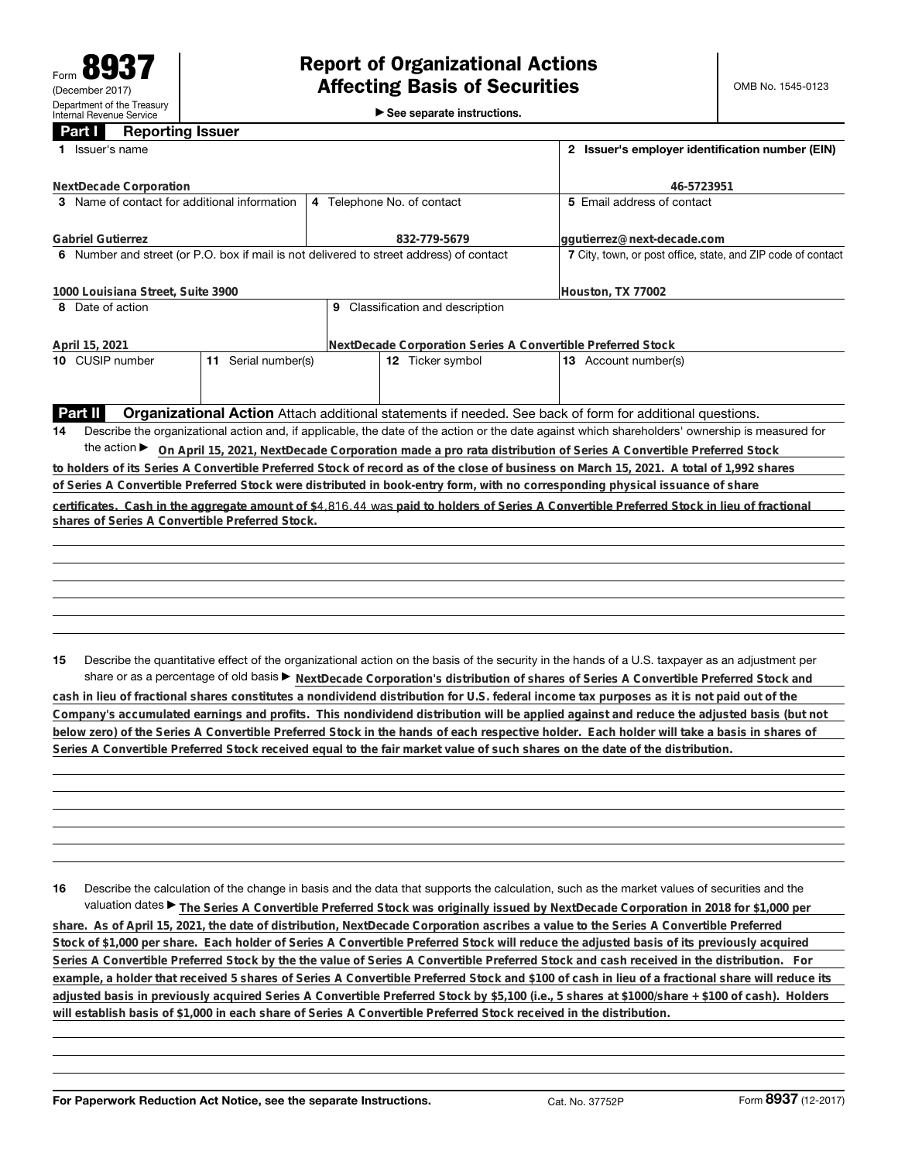►<br>► See separate instructions.

## **Part I Reporting Issuer**

| Issuer's name<br>1.                                                                                                           | 2 Issuer's employer identification number (EIN)             |                                                                                                                                                 |  |  |  |
|-------------------------------------------------------------------------------------------------------------------------------|-------------------------------------------------------------|-------------------------------------------------------------------------------------------------------------------------------------------------|--|--|--|
| NextDecade Corporation                                                                                                        | 46-5723951                                                  |                                                                                                                                                 |  |  |  |
| 3 Name of contact for additional information                                                                                  | 4 Telephone No. of contact                                  | 5 Email address of contact                                                                                                                      |  |  |  |
| <b>Gabriel Gutierrez</b>                                                                                                      | 832-779-5679                                                | ggutierrez@next-decade.com                                                                                                                      |  |  |  |
| 6 Number and street (or P.O. box if mail is not delivered to street address) of contact                                       |                                                             | 7 City, town, or post office, state, and ZIP code of contact                                                                                    |  |  |  |
| 1000 Louisiana Street, Suite 3900                                                                                             | Houston, TX 77002                                           |                                                                                                                                                 |  |  |  |
| 8 Date of action                                                                                                              | 9 Classification and description                            |                                                                                                                                                 |  |  |  |
| April 15, 2021                                                                                                                | NextDecade Corporation Series A Convertible Preferred Stock |                                                                                                                                                 |  |  |  |
| 10 CUSIP number<br>11 Serial number(s)                                                                                        | 12 Ticker symbol                                            | 13 Account number(s)                                                                                                                            |  |  |  |
|                                                                                                                               |                                                             |                                                                                                                                                 |  |  |  |
| Part II                                                                                                                       |                                                             | <b>Organizational Action</b> Attach additional statements if needed. See back of form for additional questions.                                 |  |  |  |
| 14                                                                                                                            |                                                             | Describe the organizational action and, if applicable, the date of the action or the date against which shareholders' ownership is measured for |  |  |  |
|                                                                                                                               |                                                             | the action ▶ On April 15, 2021, NextDecade Corporation made a pro rata distribution of Series A Convertible Preferred Stock                     |  |  |  |
|                                                                                                                               |                                                             | to holders of its Series A Convertible Preferred Stock of record as of the close of business on March 15, 2021. A total of 1,992 shares         |  |  |  |
| of Series A Convertible Preferred Stock were distributed in book-entry form, with no corresponding physical issuance of share |                                                             |                                                                                                                                                 |  |  |  |
|                                                                                                                               |                                                             | certificates. Cash in the aggregate amount of \$4,816.44 was paid to holders of Series A Convertible Preferred Stock in lieu of fractional      |  |  |  |
| shares of Series A Convertible Preferred Stock.                                                                               |                                                             |                                                                                                                                                 |  |  |  |
|                                                                                                                               |                                                             |                                                                                                                                                 |  |  |  |
|                                                                                                                               |                                                             |                                                                                                                                                 |  |  |  |
|                                                                                                                               |                                                             |                                                                                                                                                 |  |  |  |
|                                                                                                                               |                                                             |                                                                                                                                                 |  |  |  |
|                                                                                                                               |                                                             |                                                                                                                                                 |  |  |  |
| 15                                                                                                                            |                                                             | Describe the quantitative effect of the organizational action on the basis of the security in the hands of a U.S. taxpayer as an adjustment per |  |  |  |
|                                                                                                                               |                                                             | share or as a percentage of old basis > NextDecade Corporation's distribution of shares of Series A Convertible Preferred Stock and             |  |  |  |

**cash in lieu of fractional shares constitutes a nondividend distribution for U.S. federal income tax purposes as it is not paid out of the Company's accumulated earnings and profits. This nondividend distribution will be applied against and reduce the adjusted basis (but not below zero) of the Series A Convertible Preferred Stock in the hands of each respective holder. Each holder will take a basis in shares of Series A Convertible Preferred Stock received equal to the fair market value of such shares on the date of the distribution.**

**16** Describe the calculation of the change in basis and the data that supports the calculation, such as the market values of securities and the valuation dates ▶ The Series A Convertible Preferred Stock was originally issued by NextDecade Corporation in 2018 for \$1,000 per **share. As of April 15, 2021, the date of distribution, NextDecade Corporation ascribes a value to the Series A Convertible Preferred**

**Stock of \$1,000 per share. Each holder of Series A Convertible Preferred Stock will reduce the adjusted basis of its previously acquired Series A Convertible Preferred Stock by the the value of Series A Convertible Preferred Stock and cash received in the distribution. For example, a holder that received 5 shares of Series A Convertible Preferred Stock and \$100 of cash in lieu of a fractional share will reduce its adjusted basis in previously acquired Series A Convertible Preferred Stock by \$5,100 (i.e., 5 shares at \$1000/share + \$100 of cash). Holders will establish basis of \$1,000 in each share of Series A Convertible Preferred Stock received in the distribution.**